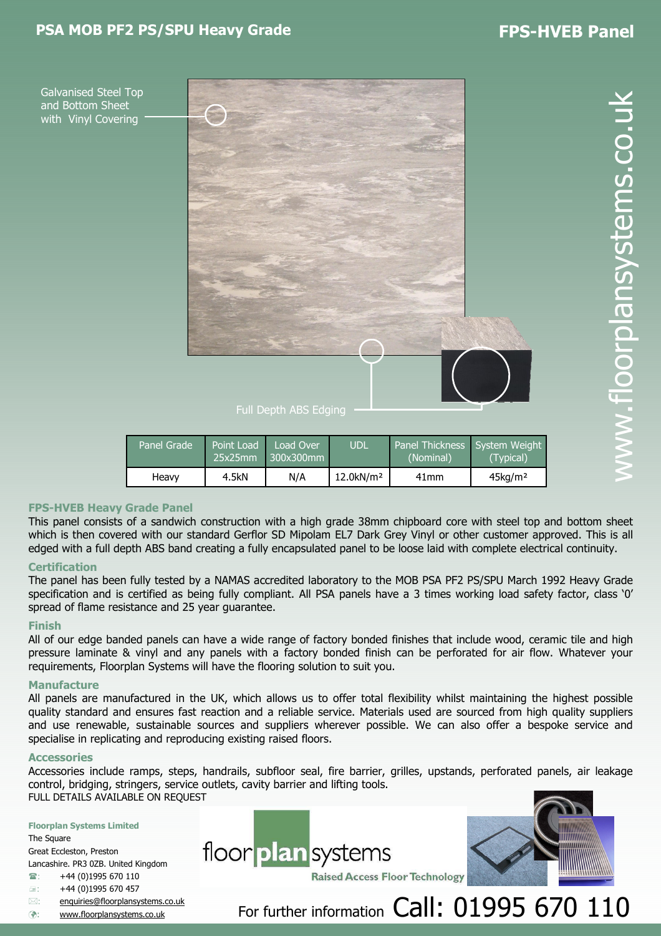# PSA MOB PF2 PS/SPU Heavy Grade FPS-HVEB Panel

Galvanised Steel Top and Bottom Sheet with Vinyl Covering



Full Depth ABS Edging

| Panel Grade | Point Load<br>25x25mm | Load Over<br>$\mid$ 300x300mm | <b>UDL</b>               | Panel Thickness System Weight<br>(Nominal) | (Typical)              |
|-------------|-----------------------|-------------------------------|--------------------------|--------------------------------------------|------------------------|
| Heavy       | 4.5kN                 | N/A                           | $12.0$ kN/m <sup>2</sup> | 41 <sub>mm</sub>                           | $45$ kg/m <sup>2</sup> |

## FPS-HVEB Heavy Grade Panel

This panel consists of a sandwich construction with a high grade 38mm chipboard core with steel top and bottom sheet which is then covered with our standard Gerflor SD Mipolam EL7 Dark Grey Vinyl or other customer approved. This is all edged with a full depth ABS band creating a fully encapsulated panel to be loose laid with complete electrical continuity.

## **Certification**

The panel has been fully tested by a NAMAS accredited laboratory to the MOB PSA PF2 PS/SPU March 1992 Heavy Grade specification and is certified as being fully compliant. All PSA panels have a 3 times working load safety factor, class '0' spread of flame resistance and 25 year guarantee.

## Finish

All of our edge banded panels can have a wide range of factory bonded finishes that include wood, ceramic tile and high pressure laminate & vinyl and any panels with a factory bonded finish can be perforated for air flow. Whatever your requirements, Floorplan Systems will have the flooring solution to suit you.

## **Manufacture**

All panels are manufactured in the UK, which allows us to offer total flexibility whilst maintaining the highest possible quality standard and ensures fast reaction and a reliable service. Materials used are sourced from high quality suppliers and use renewable, sustainable sources and suppliers wherever possible. We can also offer a bespoke service and specialise in replicating and reproducing existing raised floors.

#### **Accessories**

Accessories include ramps, steps, handrails, subfloor seal, fire barrier, grilles, upstands, perforated panels, air leakage control, bridging, stringers, service outlets, cavity barrier and lifting tools. FULL DETAILS AVAILABLE ON REQUEST

#### Floorplan Systems Limited

The Square Great Eccleston, Preston Lancashire. PR3 0ZB. United Kingdom

- $\hat{ }$  +44 (0)1995 670 110
- $\equiv$ : +44 (0)1995 670 457
- $\boxtimes$ : : enquiries@floorplansystems.co.uk
- **a**: